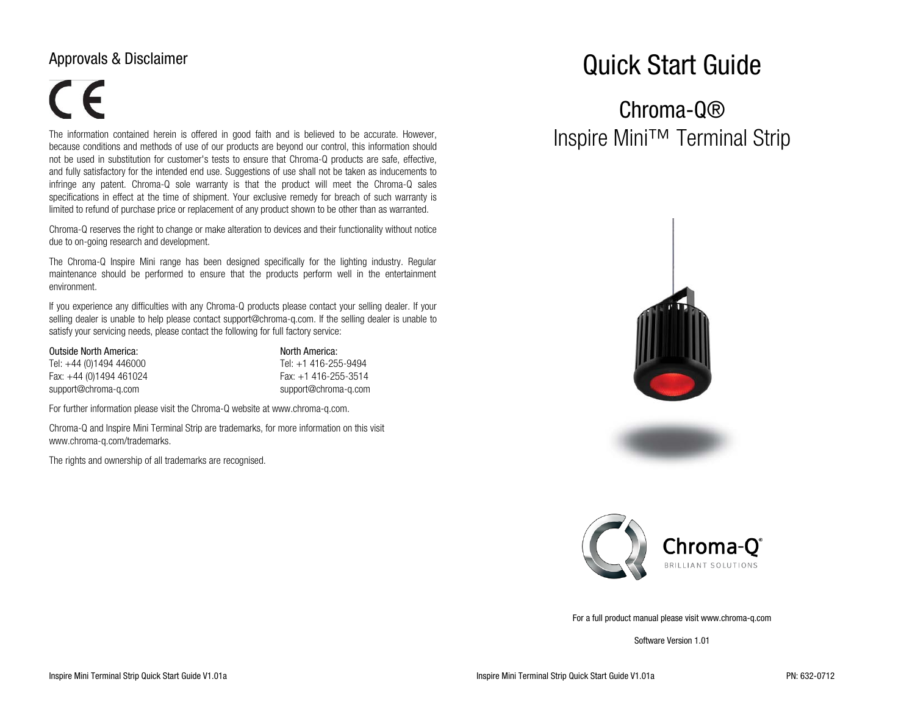### Approvals & Disclaimer

# $\epsilon$

The information contained herein is offered in good faith and is believed to be accurate. However, because conditions and methods of use of our products are beyond our control, this information should not be used in substitution for customer's tests to ensure that Chroma-Q products are safe, effective, and fully satisfactory for the intended end use. Suggestions of use shall not be taken as inducements to infringe any patent. Chroma-Q sole warranty is that the product will meet the Chroma-Q sales specifications in effect at the time of shipment. Your exclusive remedy for breach of such warranty is limited to refund of purchase price or replacement of any product shown to be other than as warranted.

Chroma-Q reserves the right to change or make alteration to devices and their functionality without notice due to on-going research and development.

The Chroma-Q Inspire Mini range has been designed specifically for the lighting industry. Regular maintenance should be performed to ensure that the products perform well in the entertainment environment.

If you experience any difficulties with any Chroma-Q products please contact your selling dealer. If your selling dealer is unable to help please contact support@chroma-q.com. If the selling dealer is unable to satisfy your servicing needs, please contact the following for full factory service:

Outside North America: North America: North America: Tel: +44 (0)1494 446000 Tel: +1 416-255-9494 Fax: +44 (0)1494 461024 Fax: +1 416-255-3514 support@chroma-q.com support@chroma-q.com

For further information please visit the Chroma-Q website at www.chroma-q.com.

Chroma-Q and Inspire Mini Terminal Strip are trademarks, for more information on this visit www.chroma-q.com/trademarks.

The rights and ownership of all trademarks are recognised.

## Quick Start Guide

## Chroma-Q® Inspire Mini™ Terminal Strip





For a full product manual please visit www.chroma-q.com

Software Version 1.01